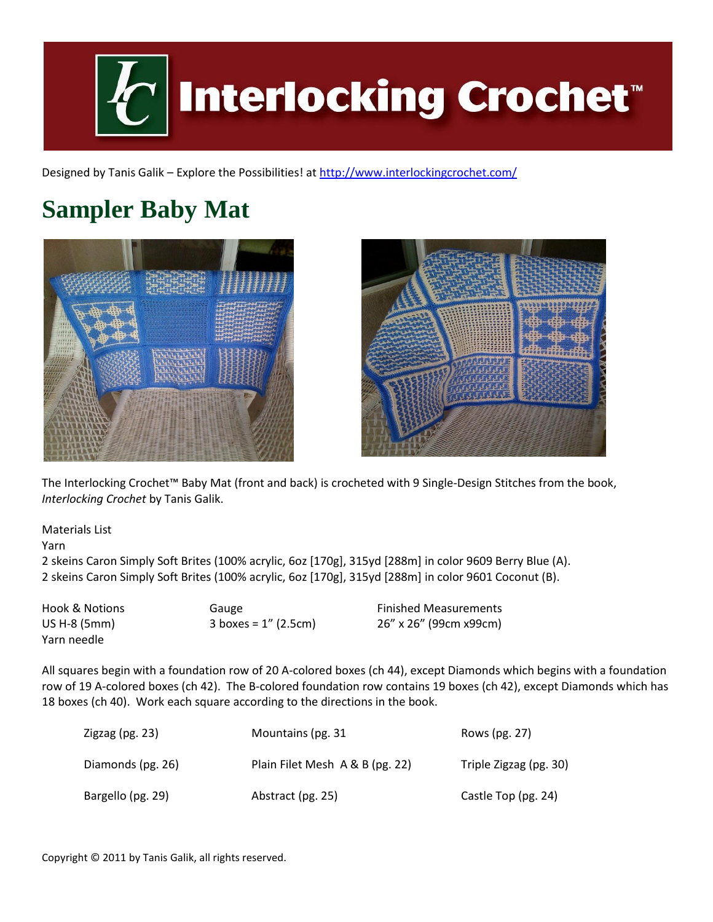

Designed by Tanis Galik – Explore the Possibilities! a[t http://www.interlockingcrochet.com/](http://www.interlockingcrochet.com/)

# **Sampler Baby Mat**





The Interlocking Crochet™ Baby Mat (front and back) is crocheted with 9 Single-Design Stitches from the book, *Interlocking Crochet* by Tanis Galik.

Materials List

Yarn

2 skeins Caron Simply Soft Brites (100% acrylic, 6oz [170g], 315yd [288m] in color 9609 Berry Blue (A). 2 skeins Caron Simply Soft Brites (100% acrylic, 6oz [170g], 315yd [288m] in color 9601 Coconut (B).

| <b>Hook &amp; Notions</b> | Gauge                   | <b>Finished Measurements</b> |
|---------------------------|-------------------------|------------------------------|
| US H-8 (5mm)              | 3 boxes = $1''$ (2.5cm) | 26" x 26" (99cm x99cm)       |
| Yarn needle               |                         |                              |

All squares begin with a foundation row of 20 A-colored boxes (ch 44), except Diamonds which begins with a foundation row of 19 A-colored boxes (ch 42). The B-colored foundation row contains 19 boxes (ch 42), except Diamonds which has 18 boxes (ch 40). Work each square according to the directions in the book.

| Zigzag (pg. 23)   | Mountains (pg. 31               | Rows (pg. 27)          |
|-------------------|---------------------------------|------------------------|
| Diamonds (pg. 26) | Plain Filet Mesh A & B (pg. 22) | Triple Zigzag (pg. 30) |
| Bargello (pg. 29) | Abstract (pg. 25)               | Castle Top (pg. 24)    |